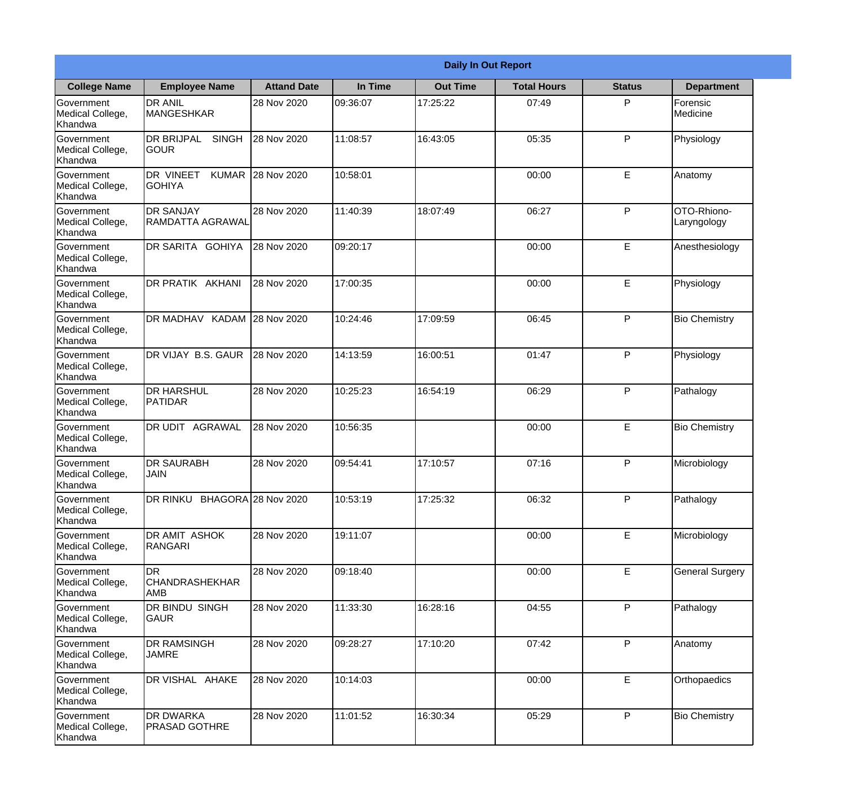|                                                  |                                                     |                    |          | <b>Daily In Out Report</b> |                    |               |                            |
|--------------------------------------------------|-----------------------------------------------------|--------------------|----------|----------------------------|--------------------|---------------|----------------------------|
| <b>College Name</b>                              | <b>Employee Name</b>                                | <b>Attand Date</b> | In Time  | <b>Out Time</b>            | <b>Total Hours</b> | <b>Status</b> | <b>Department</b>          |
| Government<br>Medical College,<br>Khandwa        | <b>DR ANIL</b><br><b>MANGESHKAR</b>                 | 28 Nov 2020        | 09:36:07 | 17:25:22                   | 07:49              | P             | Forensic<br>Medicine       |
| Government<br>Medical College,<br>Khandwa        | <b>DR BRIJPAL</b><br><b>SINGH</b><br> GOUR          | 28 Nov 2020        | 11:08:57 | 16:43:05                   | 05:35              | P             | Physiology                 |
| <b>Government</b><br>Medical College,<br>Khandwa | <b>DR VINEET</b><br><b>KUMAR</b><br><b>I</b> GOHIYA | 28 Nov 2020        | 10:58:01 |                            | 00:00              | E             | Anatomy                    |
| Government<br>Medical College,<br>Khandwa        | <b>DR SANJAY</b><br><b>RAMDATTA AGRAWAL</b>         | 28 Nov 2020        | 11:40:39 | 18:07:49                   | 06:27              | P             | OTO-Rhiono-<br>Laryngology |
| Government<br>Medical College,<br>Khandwa        | <b>DR SARITA GOHIYA</b>                             | 28 Nov 2020        | 09:20:17 |                            | 00:00              | E             | Anesthesiology             |
| Government<br>Medical College,<br>Khandwa        | DR PRATIK AKHANI                                    | 28 Nov 2020        | 17:00:35 |                            | 00:00              | E             | Physiology                 |
| Government<br>Medical College,<br>Khandwa        | DR MADHAV KADAM 28 Nov 2020                         |                    | 10:24:46 | 17:09:59                   | 06:45              | P             | <b>Bio Chemistry</b>       |
| Government<br>Medical College,<br>Khandwa        | DR VIJAY B.S. GAUR                                  | 28 Nov 2020        | 14:13:59 | 16:00:51                   | 01:47              | P             | Physiology                 |
| Government<br>Medical College,<br>Khandwa        | <b>DR HARSHUL</b><br>PATIDAR                        | 28 Nov 2020        | 10:25:23 | 16:54:19                   | 06:29              | P             | Pathalogy                  |
| Government<br>Medical College,<br>Khandwa        | DR UDIT<br><b>AGRAWAL</b>                           | 28 Nov 2020        | 10:56:35 |                            | 00:00              | E             | <b>Bio Chemistry</b>       |
| Government<br>Medical College,<br>Khandwa        | <b>IDR SAURABH</b><br><b>JAIN</b>                   | 28 Nov 2020        | 09:54:41 | 17:10:57                   | 07:16              | $\mathsf{P}$  | Microbiology               |
| Government<br>Medical College,<br>Khandwa        | DR RINKU BHAGORA 28 Nov 2020                        |                    | 10:53:19 | 17:25:32                   | 06:32              | P             | Pathalogy                  |
| Government<br>Medical College,<br>Khandwa        | <b>DR AMIT ASHOK</b><br>RANGARI                     | 28 Nov 2020        | 19:11:07 |                            | 00:00              | E             | Microbiology               |
| Government<br>Medical College,<br>Khandwa        | <b>DR</b><br><b>CHANDRASHEKHAR</b><br><b>AMB</b>    | 28 Nov 2020        | 09:18:40 |                            | 00:00              | E             | <b>General Surgery</b>     |
| Government<br>Medical College,<br>Khandwa        | DR BINDU SINGH<br> GAUR                             | 28 Nov 2020        | 11:33:30 | 16:28:16                   | 04:55              | $\mathsf{P}$  | Pathalogy                  |
| Government<br>Medical College,<br>Khandwa        | <b>DR RAMSINGH</b><br><b>JAMRE</b>                  | 28 Nov 2020        | 09:28:27 | 17:10:20                   | 07:42              | P             | Anatomy                    |
| Government<br>Medical College,<br>Khandwa        | DR VISHAL AHAKE                                     | 28 Nov 2020        | 10:14:03 |                            | 00:00              | E             | Orthopaedics               |
| Government<br>Medical College,<br>Khandwa        | <b>DR DWARKA</b><br><b>PRASAD GOTHRE</b>            | 28 Nov 2020        | 11:01:52 | 16:30:34                   | 05:29              | P             | <b>Bio Chemistry</b>       |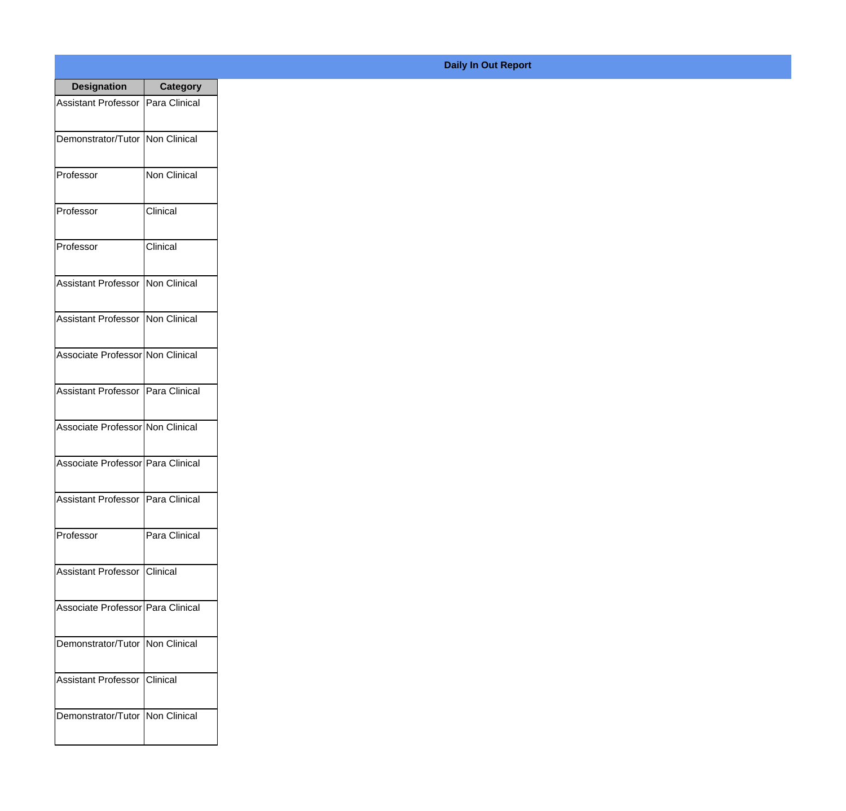| <b>Designation</b>                         | <b>Category</b>      |
|--------------------------------------------|----------------------|
| Assistant Professor                        | Para Clinical        |
| Demonstrator/Tutor   Non Clinical          |                      |
| Professor                                  | Non Clinical         |
| Professor                                  | Clinical             |
| Professor                                  | Clinical             |
| Assistant Professor                        | Non Clinical         |
| <b>Assistant Professor</b>                 | <b>INon Clinical</b> |
| Associate Professor Non Clinical           |                      |
| Assistant Professor   Para Clinical        |                      |
| Associate Professor Non Clinical           |                      |
| Associate Professor   Para Clinical        |                      |
| <b>Assistant Professor   Para Clinical</b> |                      |
| Professor                                  | Para Clinical        |
| Assistant Professor   Clinical             |                      |
| Associate Professor   Para Clinical        |                      |
| Demonstrator/Tutor   Non Clinical          |                      |
| <b>Assistant Professor</b>                 | <b>Clinical</b>      |
| Demonstrator/Tutor   Non Clinical          |                      |

## **Daily In Out Report**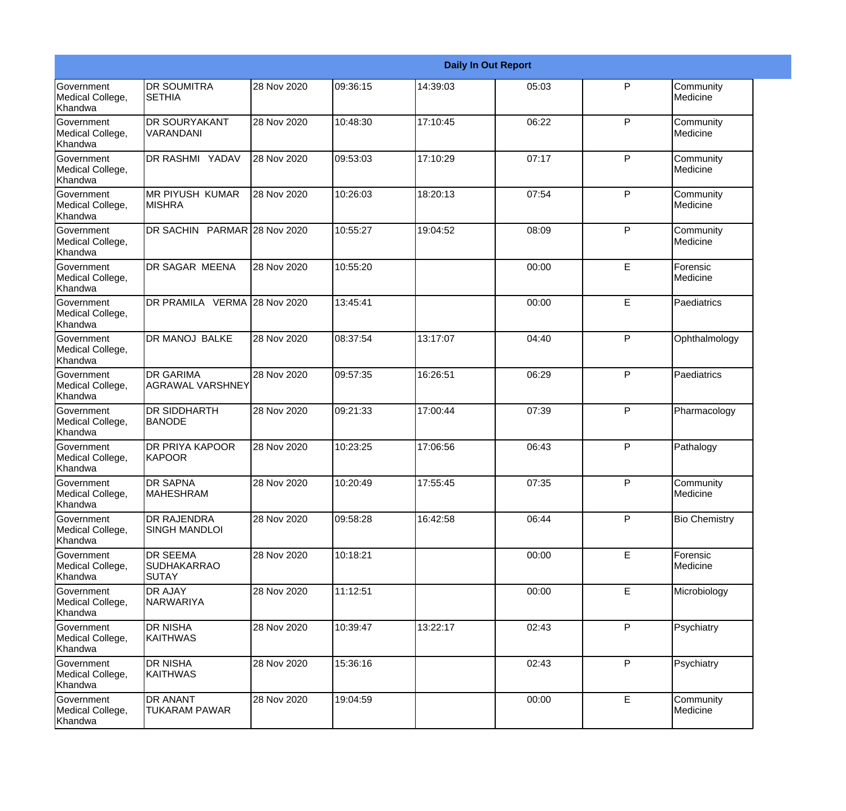|                                           |                                                       |             |          |          | <b>Daily In Out Report</b> |              |                       |
|-------------------------------------------|-------------------------------------------------------|-------------|----------|----------|----------------------------|--------------|-----------------------|
| Government<br>Medical College,<br>Khandwa | <b>DR SOUMITRA</b><br><b>SETHIA</b>                   | 28 Nov 2020 | 09:36:15 | 14:39:03 | 05:03                      | P            | Community<br>Medicine |
| Government<br>Medical College,<br>Khandwa | <b>DR SOURYAKANT</b><br>VARANDANI                     | 28 Nov 2020 | 10:48:30 | 17:10:45 | 06:22                      | $\mathsf{P}$ | Community<br>Medicine |
| Government<br>Medical College,<br>Khandwa | <b>DR RASHMI YADAV</b>                                | 28 Nov 2020 | 09:53:03 | 17:10:29 | 07:17                      | P            | Community<br>Medicine |
| Government<br>Medical College,<br>Khandwa | <b>MR PIYUSH KUMAR</b><br><b>MISHRA</b>               | 28 Nov 2020 | 10:26:03 | 18:20:13 | 07:54                      | $\mathsf{P}$ | Community<br>Medicine |
| Government<br>Medical College,<br>Khandwa | DR SACHIN PARMAR 28 Nov 2020                          |             | 10:55:27 | 19:04:52 | 08:09                      | $\mathsf{P}$ | Community<br>Medicine |
| Government<br>Medical College,<br>Khandwa | <b>DR SAGAR MEENA</b>                                 | 28 Nov 2020 | 10:55:20 |          | 00:00                      | E            | Forensic<br>Medicine  |
| Government<br>Medical College,<br>Khandwa | DR PRAMILA VERMA 28 Nov 2020                          |             | 13:45:41 |          | 00:00                      | E            | Paediatrics           |
| Government<br>Medical College,<br>Khandwa | DR MANOJ BALKE                                        | 28 Nov 2020 | 08:37:54 | 13:17:07 | 04:40                      | ${\sf P}$    | Ophthalmology         |
| Government<br>Medical College,<br>Khandwa | <b>DR GARIMA</b><br><b>AGRAWAL VARSHNEY</b>           | 28 Nov 2020 | 09:57:35 | 16:26:51 | 06:29                      | P            | Paediatrics           |
| Government<br>Medical College,<br>Khandwa | <b>DR SIDDHARTH</b><br><b>BANODE</b>                  | 28 Nov 2020 | 09:21:33 | 17:00:44 | 07:39                      | $\mathsf{P}$ | Pharmacology          |
| Government<br>Medical College,<br>Khandwa | <b>DR PRIYA KAPOOR</b><br><b>KAPOOR</b>               | 28 Nov 2020 | 10:23:25 | 17:06:56 | 06:43                      | P            | Pathalogy             |
| Government<br>Medical College,<br>Khandwa | <b>DR SAPNA</b><br><b>MAHESHRAM</b>                   | 28 Nov 2020 | 10:20:49 | 17:55:45 | 07:35                      | P            | Community<br>Medicine |
| Government<br>Medical College,<br>Khandwa | <b>DR RAJENDRA</b><br><b>SINGH MANDLOI</b>            | 28 Nov 2020 | 09:58:28 | 16:42:58 | 06:44                      | P            | <b>Bio Chemistry</b>  |
| Government<br>Medical College,<br>Khandwa | <b>DR SEEMA</b><br><b>SUDHAKARRAO</b><br><b>SUTAY</b> | 28 Nov 2020 | 10:18:21 |          | 00:00                      | E            | Forensic<br>Medicine  |
| Government<br>Medical College,<br>Khandwa | <b>DR AJAY</b><br>NARWARIYA                           | 28 Nov 2020 | 11:12:51 |          | 00:00                      | E            | Microbiology          |
| Government<br>Medical College,<br>Khandwa | <b>DR NISHA</b><br>KAITHWAS                           | 28 Nov 2020 | 10:39:47 | 13:22:17 | 02:43                      | P            | Psychiatry            |
| Government<br>Medical College,<br>Khandwa | <b>DR NISHA</b><br>KAITHWAS                           | 28 Nov 2020 | 15:36:16 |          | 02:43                      | P            | Psychiatry            |
| Government<br>Medical College,<br>Khandwa | <b>DR ANANT</b><br><b>TUKARAM PAWAR</b>               | 28 Nov 2020 | 19:04:59 |          | 00:00                      | E            | Community<br>Medicine |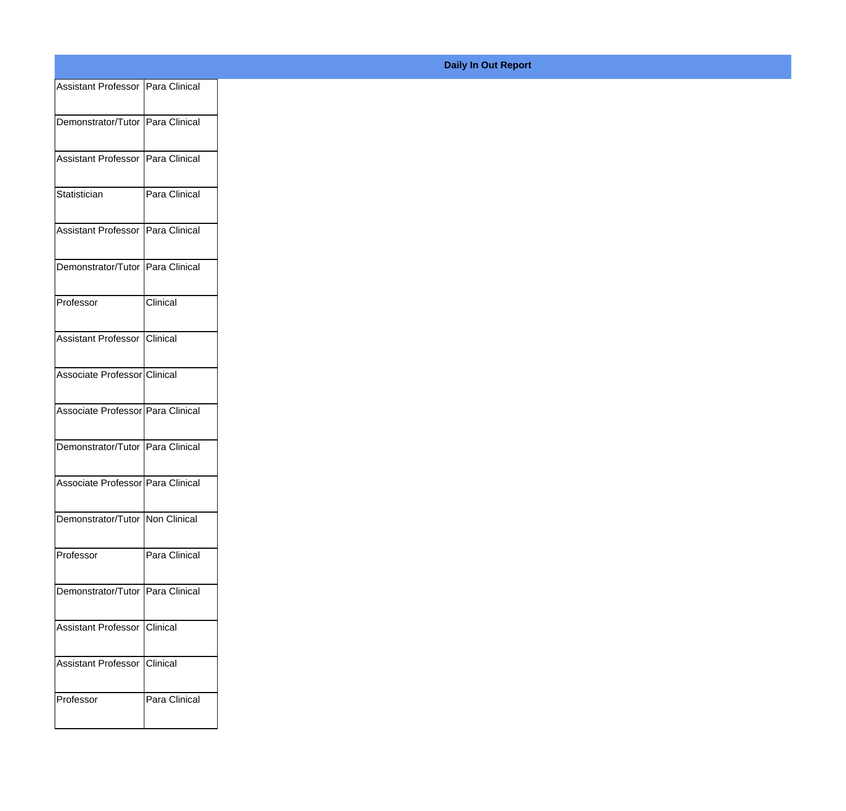| Assistant Professor   Para Clinical |               |
|-------------------------------------|---------------|
| Demonstrator/Tutor   Para Clinical  |               |
| Assistant Professor   Para Clinical |               |
| Statistician                        | Para Clinical |
| Assistant Professor   Para Clinical |               |
| Demonstrator/Tutor Para Clinical    |               |
| Professor                           | Clinical      |
| Assistant Professor Clinical        |               |
| Associate Professor Clinical        |               |
| Associate Professor Para Clinical   |               |
| Demonstrator/Tutor Para Clinical    |               |
| Associate Professor Para Clinical   |               |
| Demonstrator/Tutor   Non Clinical   |               |
| Professor                           | Para Clinical |
| Demonstrator/Tutor   Para Clinical  |               |
| Assistant Professor Clinical        |               |
| Assistant Professor   Clinical      |               |
| Professor                           | Para Clinical |
|                                     |               |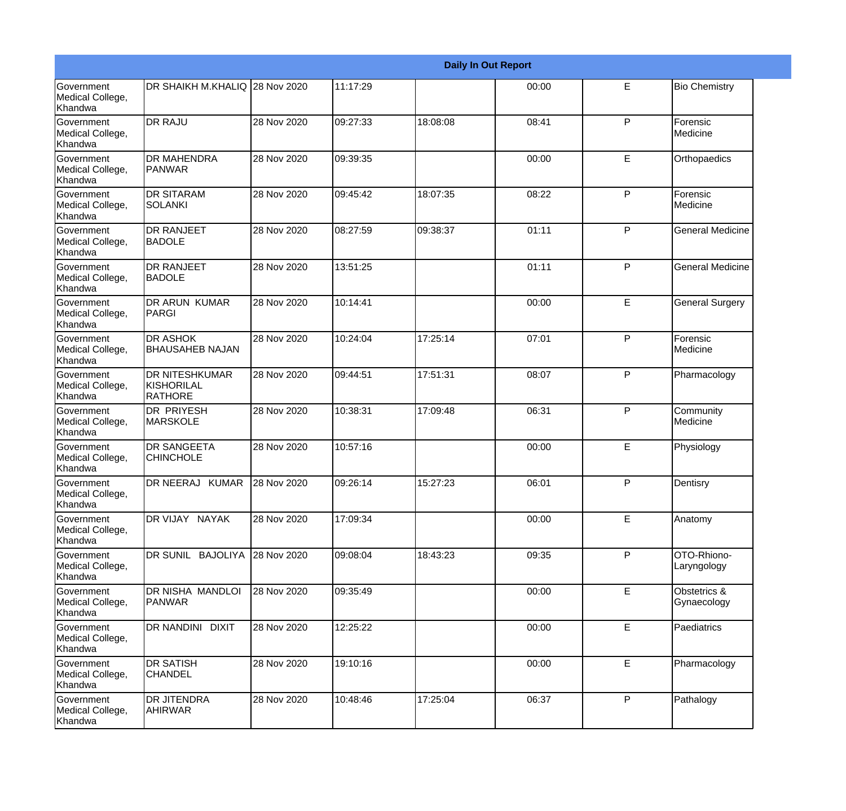|                                           |                                                       |             |          |          | <b>Daily In Out Report</b> |              |                             |
|-------------------------------------------|-------------------------------------------------------|-------------|----------|----------|----------------------------|--------------|-----------------------------|
| Government<br>Medical College,<br>Khandwa | DR SHAIKH M.KHALIQ 28 Nov 2020                        |             | 11:17:29 |          | 00:00                      | E            | <b>Bio Chemistry</b>        |
| Government<br>Medical College,<br>Khandwa | <b>DR RAJU</b>                                        | 28 Nov 2020 | 09:27:33 | 18:08:08 | 08:41                      | $\mathsf{P}$ | Forensic<br>Medicine        |
| Government<br>Medical College,<br>Khandwa | <b>DR MAHENDRA</b><br><b>IPANWAR</b>                  | 28 Nov 2020 | 09:39:35 |          | 00:00                      | E            | Orthopaedics                |
| Government<br>Medical College,<br>Khandwa | <b>DR SITARAM</b><br>SOLANKI                          | 28 Nov 2020 | 09:45:42 | 18:07:35 | 08:22                      | P            | Forensic<br>Medicine        |
| Government<br>Medical College,<br>Khandwa | <b>DR RANJEET</b><br><b>BADOLE</b>                    | 28 Nov 2020 | 08:27:59 | 09:38:37 | 01:11                      | P            | <b>General Medicine</b>     |
| Government<br>Medical College,<br>Khandwa | <b>DR RANJEET</b><br><b>BADOLE</b>                    | 28 Nov 2020 | 13:51:25 |          | 01:11                      | P            | <b>General Medicine</b>     |
| Government<br>Medical College,<br>Khandwa | <b>DR ARUN KUMAR</b><br>PARGI                         | 28 Nov 2020 | 10:14:41 |          | 00:00                      | E            | <b>General Surgery</b>      |
| Government<br>Medical College,<br>Khandwa | <b>IDR ASHOK</b><br><b>BHAUSAHEB NAJAN</b>            | 28 Nov 2020 | 10:24:04 | 17:25:14 | 07:01                      | P            | Forensic<br>Medicine        |
| Government<br>Medical College,<br>Khandwa | <b>DR NITESHKUMAR</b><br>KISHORILAL<br><b>RATHORE</b> | 28 Nov 2020 | 09:44:51 | 17:51:31 | 08:07                      | P            | Pharmacology                |
| Government<br>Medical College,<br>Khandwa | <b>DR PRIYESH</b><br><b>MARSKOLE</b>                  | 28 Nov 2020 | 10:38:31 | 17:09:48 | 06:31                      | P            | Community<br>Medicine       |
| Government<br>Medical College,<br>Khandwa | <b>DR SANGEETA</b><br><b>CHINCHOLE</b>                | 28 Nov 2020 | 10:57:16 |          | 00:00                      | E            | Physiology                  |
| Government<br>Medical College,<br>Khandwa | DR NEERAJ KUMAR                                       | 28 Nov 2020 | 09:26:14 | 15:27:23 | 06:01                      | P            | Dentisry                    |
| Government<br>Medical College,<br>Khandwa | DR VIJAY NAYAK                                        | 28 Nov 2020 | 17:09:34 |          | 00:00                      | E            | Anatomy                     |
| Government<br>Medical College,<br>Khandwa | DR SUNIL BAJOLIYA                                     | 28 Nov 2020 | 09:08:04 | 18:43:23 | 09:35                      | P            | OTO-Rhiono-<br>Laryngology  |
| Government<br>Medical College,<br>Khandwa | DR NISHA MANDLOI<br>PANWAR                            | 28 Nov 2020 | 09:35:49 |          | 00:00                      | E            | Obstetrics &<br>Gynaecology |
| Government<br>Medical College,<br>Khandwa | DR NANDINI DIXIT                                      | 28 Nov 2020 | 12:25:22 |          | 00:00                      | E            | Paediatrics                 |
| Government<br>Medical College,<br>Khandwa | <b>DR SATISH</b><br><b>CHANDEL</b>                    | 28 Nov 2020 | 19:10:16 |          | 00:00                      | E            | Pharmacology                |
| Government<br>Medical College,<br>Khandwa | <b>DR JITENDRA</b><br><b>AHIRWAR</b>                  | 28 Nov 2020 | 10:48:46 | 17:25:04 | 06:37                      | $\mathsf{P}$ | Pathalogy                   |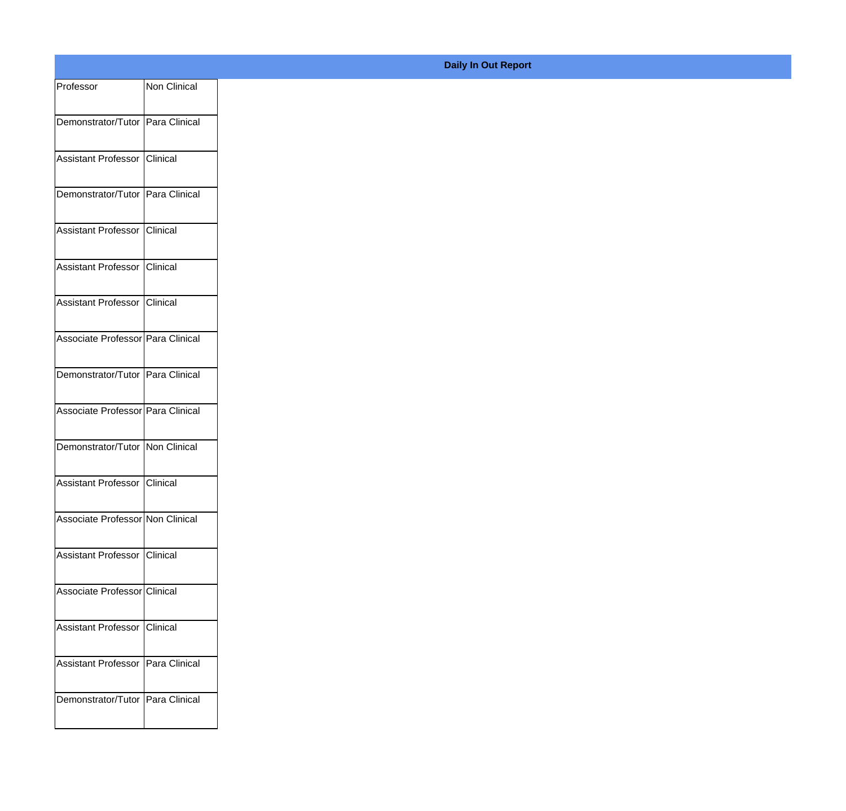|                                     |              | <b>Daily In Out Report</b> |
|-------------------------------------|--------------|----------------------------|
| Professor                           | Non Clinical |                            |
| Demonstrator/Tutor Para Clinical    |              |                            |
| Assistant Professor Clinical        |              |                            |
| Demonstrator/Tutor Para Clinical    |              |                            |
| Assistant Professor Clinical        |              |                            |
| Assistant Professor Clinical        |              |                            |
| Assistant Professor Clinical        |              |                            |
| Associate Professor Para Clinical   |              |                            |
| Demonstrator/Tutor   Para Clinical  |              |                            |
| Associate Professor Para Clinical   |              |                            |
| Demonstrator/Tutor Non Clinical     |              |                            |
| Assistant Professor Clinical        |              |                            |
| Associate Professor Non Clinical    |              |                            |
| Assistant Professor Clinical        |              |                            |
| Associate Professor Clinical        |              |                            |
| Assistant Professor Clinical        |              |                            |
| Assistant Professor   Para Clinical |              |                            |
| Demonstrator/Tutor Para Clinical    |              |                            |
|                                     |              |                            |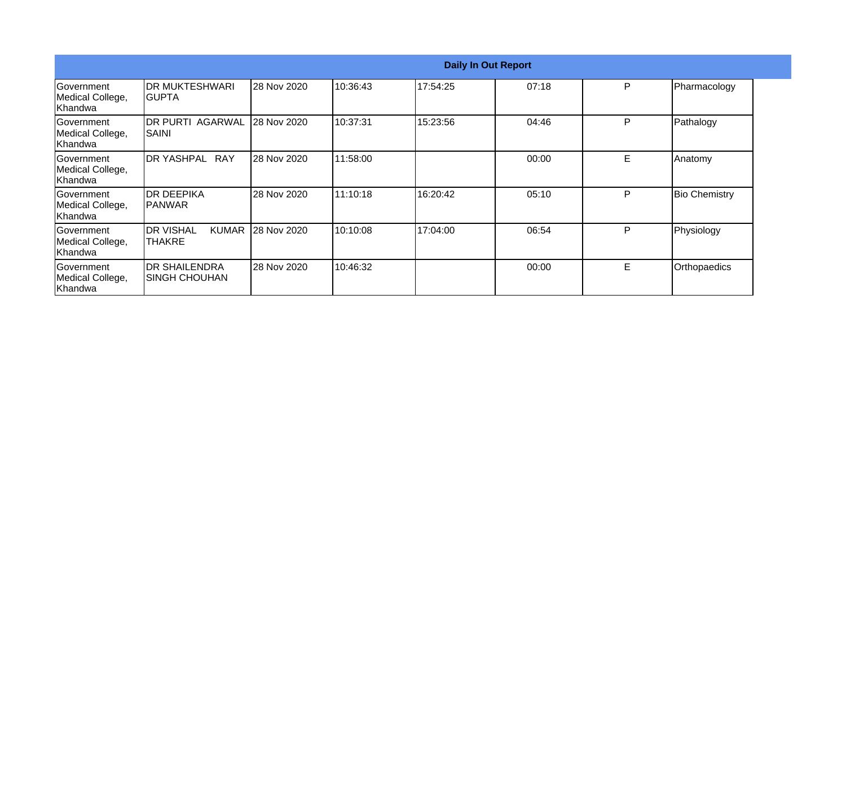|                                                  |                                               |             |          | <b>Daily In Out Report</b> |       |   |                      |
|--------------------------------------------------|-----------------------------------------------|-------------|----------|----------------------------|-------|---|----------------------|
| <b>Government</b><br>Medical College,<br>Khandwa | <b>DR MUKTESHWARI</b><br>IGUPTA               | 28 Nov 2020 | 10:36:43 | 17:54:25                   | 07:18 | P | Pharmacology         |
| Government<br>Medical College,<br>Khandwa        | <b>DR PURTI AGARWAL</b><br><b>SAINI</b>       | 28 Nov 2020 | 10:37:31 | 15:23:56                   | 04:46 | P | Pathalogy            |
| Government<br>Medical College,<br>Khandwa        | <b>IDR YASHPAL RAY</b>                        | 28 Nov 2020 | 11:58:00 |                            | 00:00 | E | Anatomy              |
| Government<br>Medical College,<br>Khandwa        | <b>DR DEEPIKA</b><br>IPANWAR                  | 28 Nov 2020 | 11:10:18 | 16:20:42                   | 05:10 | P | <b>Bio Chemistry</b> |
| <b>Government</b><br>Medical College,<br>Khandwa | <b>IDR VISHAL</b><br><b>KUMAR</b><br>THAKRE   | 28 Nov 2020 | 10:10:08 | 17:04:00                   | 06:54 | P | Physiology           |
| Government<br>Medical College,<br><b>Khandwa</b> | <b>DR SHAILENDRA</b><br><b>ISINGH CHOUHAN</b> | 28 Nov 2020 | 10:46:32 |                            | 00:00 | E | Orthopaedics         |